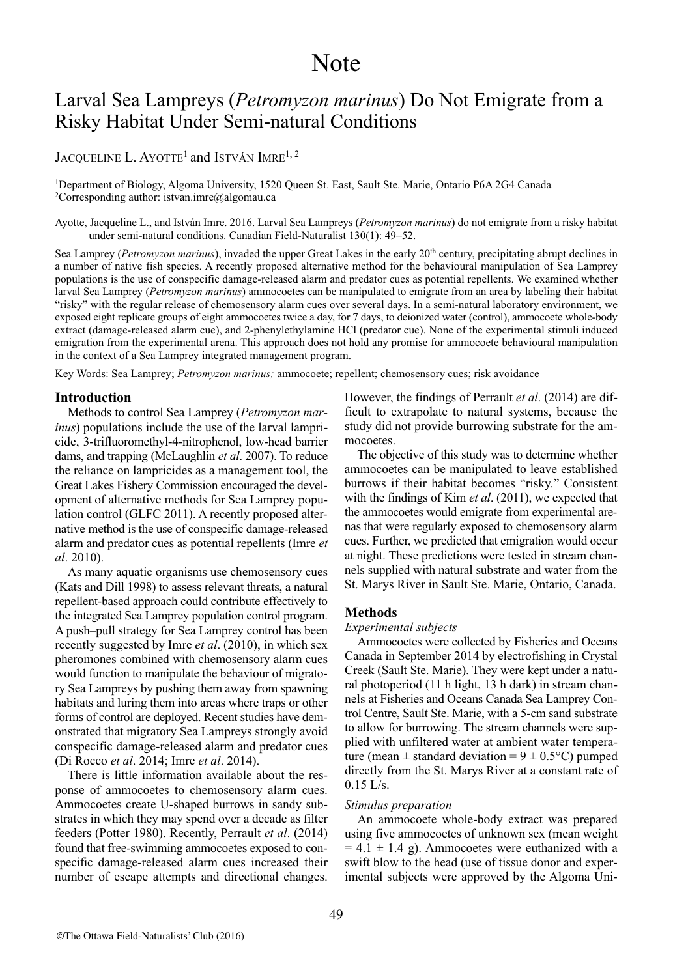# **Note**

# Larval Sea Lampreys (*Petromyzon marinus*) Do Not Emigrate from a Risky Habitat Under Semi-natural Conditions

JACQUELINE L. AYOTTE<sup>1</sup> and ISTVÁN IMRE<sup>1, 2</sup>

1Department of Biology, algoma University, 1520 queen St. East, Sault Ste. marie, ontario P6a 2G4 Canada <sup>2</sup>Corresponding author: istvan.imre@algomau.ca

ayotte, Jacqueline L., and istván imre. 2016. Larval Sea Lampreys (*Petromyzon marinus*) do not emigrate from a risky habitat under semi-natural conditions. Canadian Field-Naturalist 130(1): 49–52.

Sea Lamprey (*Petromyzon marinus*), invaded the upper Great Lakes in the early 20<sup>th</sup> century, precipitating abrupt declines in a number of native fish species. a recently proposed alternative method for the behavioural manipulation of Sea Lamprey populations is the use of conspecific damage-released alarm and predator cues as potential repellents. We examined whether larval Sea Lamprey (*Petromyzon marinus*) ammocoetes can be manipulated to emigrate from an area by labeling their habitat "risky" with the regular release of chemosensory alarm cues over several days. in a semi-natural laboratory environment, we exposed eight replicate groups of eight ammocoetes twice a day, for 7 days, to deionized water (control), ammocoete whole-body extract (damage-released alarm cue), and 2-phenylethylamine HCl (predator cue). None of the experimental stimuli induced emigration from the experimental arena. this approach does not hold any promise for ammocoete behavioural manipulation in the context of a Sea Lamprey integrated management program.

Key Words: Sea Lamprey; *Petromyzon marinus;* ammocoete; repellent; chemosensory cues; risk avoidance

# **Introduction**

methods to control Sea Lamprey (*Petromyzon marinus*) populations include the use of the larval lampricide, 3-trifluoromethyl-4-nitrophenol, low-head barrier dams, and trapping (McLaughlin *et al.* 2007). To reduce the reliance on lampricides as a management tool, the Great Lakes Fishery Commission encouraged the development of alternative methods for Sea Lamprey population control (GLFC 2011). A recently proposed alternative method is the use of conspecific damage-released alarm and predator cues as potential repellents (imre *et al*. 2010).

As many aquatic organisms use chemosensory cues (Kats and Dill 1998) to assess relevant threats, a natural repellent-based approach could contribute effectively to the integrated Sea Lamprey population control program. a push–pull strategy for Sea Lamprey control has been recently suggested by imre *et al*. (2010), in which sex pheromones combined with chemosensory alarm cues would function to manipulate the behaviour of migratory Sea Lampreys by pushing them away from spawning habitats and luring them into areas where traps or other forms of control are deployed. Recent studies have demonstrated that migratory Sea Lampreys strongly avoid conspecific damage-released alarm and predator cues (Di Rocco *et al*. 2014; imre *et al*. 2014).

There is little information available about the response of ammocoetes to chemosensory alarm cues. ammocoetes create U-shaped burrows in sandy substrates in which they may spend over a decade as filter feeders (Potter 1980). Recently, Perrault *et al*. (2014) found that free-swimming ammocoetes exposed to conspecific damage-released alarm cues increased their number of escape attempts and directional changes.

However, the findings of Perrault *et al*. (2014) are difficult to extrapolate to natural systems, because the study did not provide burrowing substrate for the ammocoetes.

The objective of this study was to determine whether ammocoetes can be manipulated to leave established burrows if their habitat becomes "risky." Consistent with the findings of Kim *et al*. (2011), we expected that the ammocoetes would emigrate from experimental arenas that were regularly exposed to chemosensory alarm cues. Further, we predicted that emigration would occur at night. These predictions were tested in stream channels supplied with natural substrate and water from the St. Marys River in Sault Ste. Marie, Ontario, Canada.

#### **Methods**

#### *Experimental subjects*

Ammocoetes were collected by Fisheries and Oceans Canada in September 2014 by electrofishing in Crystal Creek (Sault Ste. Marie). They were kept under a natural photoperiod (11 h light, 13 h dark) in stream channels at Fisheries and oceans Canada Sea Lamprey Control Centre, Sault Ste. marie, with a 5-cm sand substrate to allow for burrowing. The stream channels were supplied with unfiltered water at ambient water temperature (mean  $\pm$  standard deviation =  $9 \pm 0.5$ °C) pumped directly from the St. marys River at a constant rate of  $0.15$  L/s.

# *Stimulus preparation*

an ammocoete whole-body extract was prepared using five ammocoetes of unknown sex (mean weight  $= 4.1 \pm 1.4$  g). Ammocoetes were euthanized with a swift blow to the head (use of tissue donor and experimental subjects were approved by the Algoma Uni-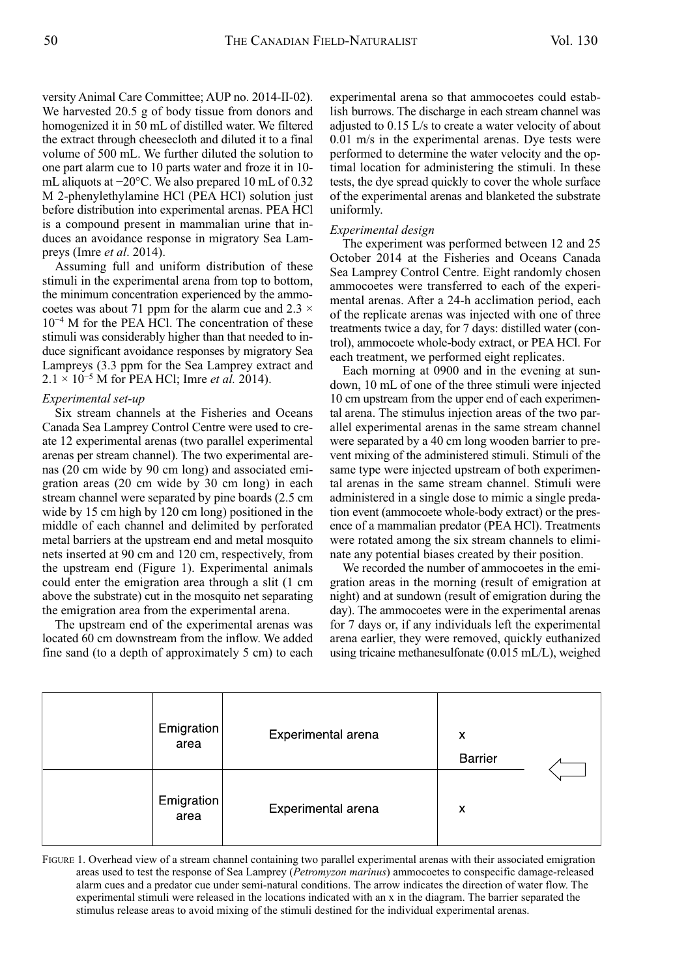versity Animal Care Committee; AUP no. 2014-II-02). We harvested 20.5 g of body tissue from donors and homogenized it in 50 mL of distilled water. We filtered the extract through cheesecloth and diluted it to a final volume of 500 mL. We further diluted the solution to one part alarm cue to 10 parts water and froze it in 10 mL aliquots at −20°C. We also prepared 10 mL of 0.32 m 2-phenylethylamine HCl (PEa HCl) solution just before distribution into experimental arenas. PEa HCl is a compound present in mammalian urine that induces an avoidance response in migratory Sea Lampreys (imre *et al*. 2014).

assuming full and uniform distribution of these stimuli in the experimental arena from top to bottom, the minimum concentration experienced by the ammocoetes was about 71 ppm for the alarm cue and  $2.3 \times$ 10<sup>-4</sup> M for the PEA HCl. The concentration of these stimuli was considerably higher than that needed to induce significant avoidance responses by migratory Sea Lampreys (3.3 ppm for the Sea Lamprey extract and 2.1 × 10−5 m for PEa HCl; imre *et al.* 2014).

# *Experimental set-up*

Six stream channels at the Fisheries and oceans Canada Sea Lamprey Control Centre were used to create 12 experimental arenas (two parallel experimental arenas per stream channel). The two experimental arenas (20 cm wide by 90 cm long) and associated emigration areas (20 cm wide by 30 cm long) in each stream channel were separated by pine boards (2.5 cm wide by 15 cm high by 120 cm long) positioned in the middle of each channel and delimited by perforated metal barriers at the upstream end and metal mosquito nets inserted at 90 cm and 120 cm, respectively, from the upstream end (Figure 1). Experimental animals could enter the emigration area through a slit (1 cm above the substrate) cut in the mosquito net separating the emigration area from the experimental arena.

The upstream end of the experimental arenas was located 60 cm downstream from the inflow. We added fine sand (to a depth of approximately 5 cm) to each experimental arena so that ammocoetes could establish burrows. The discharge in each stream channel was adjusted to 0.15 L/s to create a water velocity of about 0.01 m/s in the experimental arenas. Dye tests were performed to determine the water velocity and the optimal location for administering the stimuli. in these tests, the dye spread quickly to cover the whole surface of the experimental arenas and blanketed the substrate uniformly.

#### *Experimental design*

The experiment was performed between 12 and 25 October 2014 at the Fisheries and Oceans Canada Sea Lamprey Control Centre. Eight randomly chosen ammocoetes were transferred to each of the experimental arenas. After a 24-h acclimation period, each of the replicate arenas was injected with one of three treatments twice a day, for 7 days: distilled water (control), ammocoete whole-body extract, or PEa HCl. For each treatment, we performed eight replicates.

Each morning at 0900 and in the evening at sundown, 10 mL of one of the three stimuli were injected 10 cm upstream from the upper end of each experimental arena. The stimulus injection areas of the two parallel experimental arenas in the same stream channel were separated by a 40 cm long wooden barrier to prevent mixing of the administered stimuli. Stimuli of the same type were injected upstream of both experimental arenas in the same stream channel. Stimuli were administered in a single dose to mimic a single predation event (ammocoete whole-body extract) or the presence of a mammalian predator (PEA HCl). Treatments were rotated among the six stream channels to eliminate any potential biases created by their position.

We recorded the number of ammocoetes in the emigration areas in the morning (result of emigration at night) and at sundown (result of emigration during the day). The ammocoetes were in the experimental arenas for 7 days or, if any individuals left the experimental arena earlier, they were removed, quickly euthanized using tricaine methanesulfonate (0.015 mL/L), weighed

| Emigration<br>area | Experimental arena | x<br>Barrier |  |
|--------------------|--------------------|--------------|--|
| Emigration<br>area | Experimental arena | x            |  |

FiGURE 1. overhead view of a stream channel containing two parallel experimental arenas with their associated emigration areas used to test the response of Sea Lamprey (*Petromyzon marinus*) ammocoetes to conspecific damage-released alarm cues and a predator cue under semi-natural conditions. The arrow indicates the direction of water flow. The experimental stimuli were released in the locations indicated with an x in the diagram. The barrier separated the stimulus release areas to avoid mixing of the stimuli destined for the individual experimental arenas.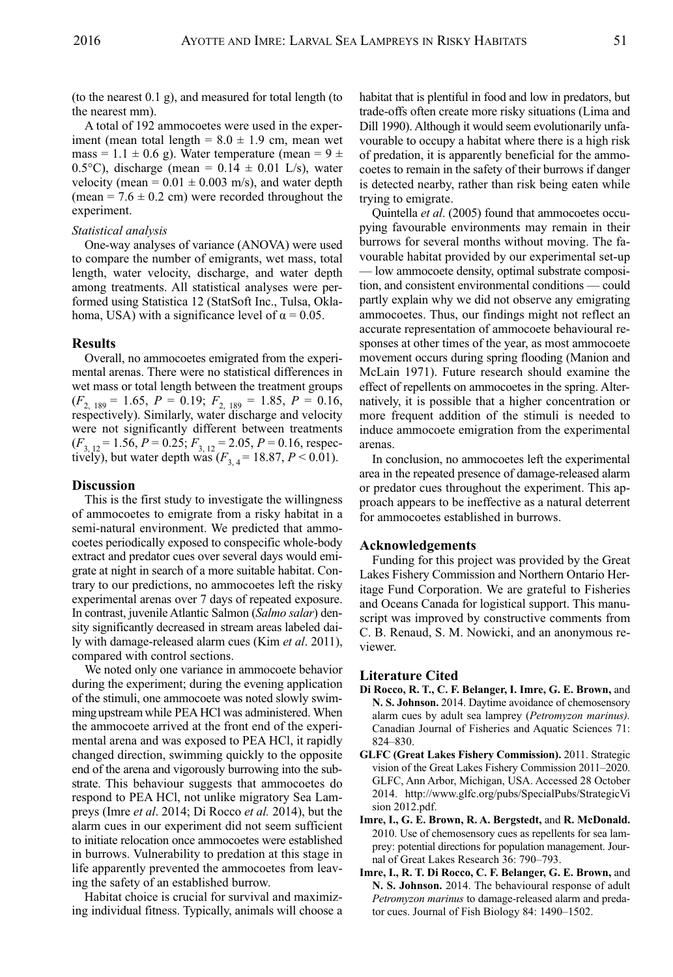(to the nearest 0.1 g), and measured for total length (to the nearest mm).

a total of 192 ammocoetes were used in the experiment (mean total length =  $8.0 \pm 1.9$  cm, mean wet mass = 1.1  $\pm$  0.6 g). Water temperature (mean = 9  $\pm$ 0.5°C), discharge (mean =  $0.14 \pm 0.01$  L/s), water velocity (mean =  $0.01 \pm 0.003$  m/s), and water depth (mean =  $7.6 \pm 0.2$  cm) were recorded throughout the experiment.

#### *Statistical analysis*

One-way analyses of variance (ANOVA) were used to compare the number of emigrants, wet mass, total length, water velocity, discharge, and water depth among treatments. all statistical analyses were performed using Statistica 12 (StatSoft Inc., Tulsa, Oklahoma, USA) with a significance level of  $\alpha = 0.05$ .

# **Results**

Overall, no ammocoetes emigrated from the experimental arenas. There were no statistical differences in wet mass or total length between the treatment groups  $(F_{2, 189} = 1.65, P = 0.19; F_{2, 189} = 1.85, P = 0.16,$ respectively). Similarly, water discharge and velocity were not significantly different between treatments  $(F_{3, 12} = 1.56, P = 0.25; F_{3, 12} = 2.05, P = 0.16$ , respectively), but water depth was  $(F_{3,4} = 18.87, P \le 0.01)$ .

## **Discussion**

This is the first study to investigate the willingness of ammocoetes to emigrate from a risky habitat in a semi-natural environment. We predicted that ammocoetes periodically exposed to conspecific whole-body extract and predator cues over several days would emigrate at night in search of a more suitable habitat. Contrary to our predictions, no ammocoetes left the risky experimental arenas over 7 days of repeated exposure. in contrast, juvenile atlantic Salmon (*Salmo salar*) density significantly decreased in stream areas labeled daily with damage-released alarm cues (Kim *et al*. 2011), compared with control sections.

We noted only one variance in ammocoete behavior during the experiment; during the evening application of the stimuli, one ammocoete was noted slowly swimmingupstreamwhile PEa HCl was administered. When the ammocoete arrived at the front end of the experimental arena and was exposed to PEa HCl, it rapidly changed direction, swimming quickly to the opposite end of the arena and vigorously burrowing into the substrate. This behaviour suggests that ammocoetes do respond to PEA HCl, not unlike migratory Sea Lampreys (imre *et al*. 2014; Di Rocco *et al.* 2014), but the alarm cues in our experiment did not seem sufficient to initiate relocation once ammocoetes were established in burrows. vulnerability to predation at this stage in life apparently prevented the ammocoetes from leaving the safety of an established burrow.

Habitat choice is crucial for survival and maximizing individual fitness. Typically, animals will choose a habitat that is plentiful in food and low in predators, but trade-offs often create more risky situations (Lima and Dill 1990). Although it would seem evolutionarily unfavourable to occupy a habitat where there is a high risk of predation, it is apparently beneficial for the ammocoetes to remain in the safety of their burrows if danger is detected nearby, rather than risk being eaten while trying to emigrate.

Quintella *et al.* (2005) found that ammocoetes occupying favourable environments may remain in their burrows for several months without moving. The favourable habitat provided by our experimental set-up — low ammocoete density, optimal substrate composition, and consistent environmental conditions — could partly explain why we did not observe any emigrating ammocoetes. Thus, our findings might not reflect an accurate representation of ammocoete behavioural responses at other times of the year, as most ammocoete movement occurs during spring flooding (Manion and mcLain 1971). Future research should examine the effect of repellents on ammocoetes in the spring. Alternatively, it is possible that a higher concentration or more frequent addition of the stimuli is needed to induce ammocoete emigration from the experimental arenas.

In conclusion, no ammocoetes left the experimental area in the repeated presence of damage-released alarm or predator cues throughout the experiment. This approach appears to be ineffective as a natural deterrent for ammocoetes established in burrows.

# **Acknowledgements**

Funding for this project was provided by the Great Lakes Fishery Commission and Northern Ontario Heritage Fund Corporation. We are grateful to Fisheries and Oceans Canada for logistical support. This manuscript was improved by constructive comments from C. B. Renaud, S. m. Nowicki, and an anonymous reviewer.

## **Literature Cited**

- **Di Rocco, R. T., C. F. Belanger, I. Imre, G. E. Brown,** and **N. S. Johnson.** 2014. Daytime avoidance of chemosensory alarm cues by adult sea lamprey (*Petromyzon marinus).* Canadian Journal of Fisheries and Aquatic Sciences 71: 824–830.
- **GLFC (Great Lakes Fishery Commission).** 2011. Strategic vision of the Great Lakes Fishery Commission 2011–2020. GLFC, ann arbor, michigan, USa. accessed 28 october 2014. http://www.glfc.org/pubs/SpecialPubs/Strategicvi sion 2012.pdf.
- **Imre, I., G. E. Brown, R. A. Bergstedt,** and **R. McDonald.** 2010. Use of chemosensory cues as repellents for sea lamprey: potential directions for population management. Journal of Great Lakes Research 36: 790–793.
- **Imre, I., R. T. Di Rocco, C. F. Belanger, G. E. Brown,** and N. S. Johnson. 2014. The behavioural response of adult *Petromyzon marinus* to damage-released alarm and predator cues. Journal of Fish Biology 84: 1490–1502.